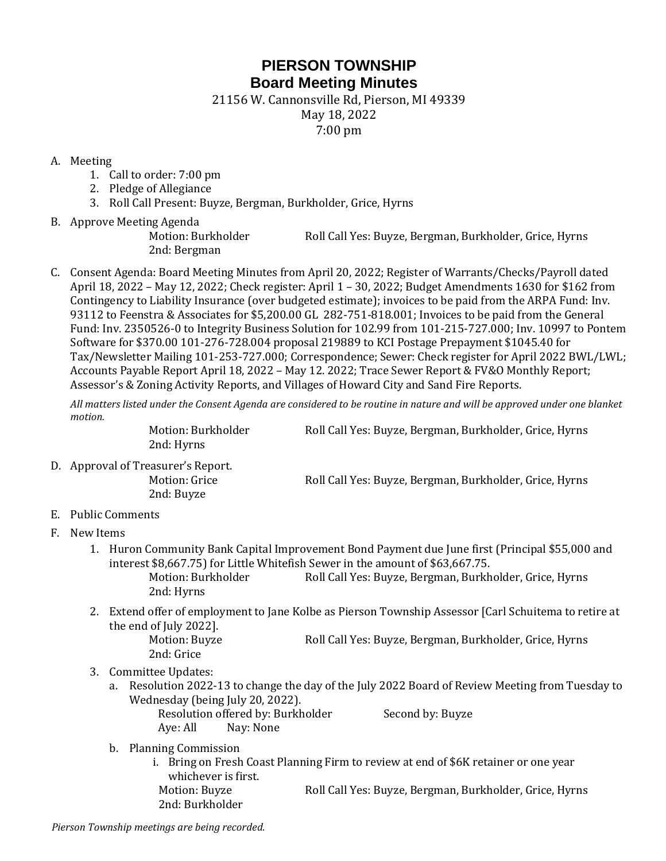## **PIERSON TOWNSHIP Board Meeting Minutes**

21156 W. Cannonsville Rd, Pierson, MI 49339

May 18, 2022

7:00 pm

## A. Meeting

- 1. Call to order: 7:00 pm
- 2. Pledge of Allegiance
- 3. Roll Call Present: Buyze, Bergman, Burkholder, Grice, Hyrns
- B. Approve Meeting Agenda

Motion: Burkholder Roll Call Yes: Buyze, Bergman, Burkholder, Grice, Hyrns 2nd: Bergman

C. Consent Agenda: Board Meeting Minutes from April 20, 2022; Register of Warrants/Checks/Payroll dated April 18, 2022 – May 12, 2022; Check register: April 1 – 30, 2022; Budget Amendments 1630 for \$162 from Contingency to Liability Insurance (over budgeted estimate); invoices to be paid from the ARPA Fund: Inv. 93112 to Feenstra & Associates for \$5,200.00 GL 282-751-818.001; Invoices to be paid from the General Fund: Inv. 2350526-0 to Integrity Business Solution for 102.99 from 101-215-727.000; Inv. 10997 to Pontem Software for \$370.00 101-276-728.004 proposal 219889 to KCI Postage Prepayment \$1045.40 for Tax/Newsletter Mailing 101-253-727.000; Correspondence; Sewer: Check register for April 2022 BWL/LWL; Accounts Payable Report April 18, 2022 – May 12. 2022; Trace Sewer Report & FV&O Monthly Report; Assessor's & Zoning Activity Reports, and Villages of Howard City and Sand Fire Reports.

*All matters listed under the Consent Agenda are considered to be routine in nature and will be approved under one blanket motion.* 

Motion: Burkholder Roll Call Yes: Buyze, Bergman, Burkholder, Grice, Hyrns 2nd: Hyrns

D. Approval of Treasurer's Report. 2nd: Buyze

Motion: Grice Roll Call Yes: Buyze, Bergman, Burkholder, Grice, Hyrns

- E. Public Comments
- F. New Items
	- 1. Huron Community Bank Capital Improvement Bond Payment due June first (Principal \$55,000 and interest \$8,667.75) for Little Whitefish Sewer in the amount of \$63,667.75. Motion: Burkholder Roll Call Yes: Buyze, Bergman, Burkholder, Grice, Hyrns
	- 2nd: Hyrns 2. Extend offer of employment to Jane Kolbe as Pierson Township Assessor [Carl Schuitema to retire at the end of July 2022].

Motion: Buyze **Roll Call Yes: Buyze, Bergman, Burkholder**, Grice, Hyrns 2nd: Grice

- 3. Committee Updates:
	- a. Resolution 2022-13 to change the day of the July 2022 Board of Review Meeting from Tuesday to Wednesday (being July 20, 2022).
		- Resolution offered by: Burkholder Second by: Buyze Aye: All Nay: None

- b. Planning Commission
	- i. Bring on Fresh Coast Planning Firm to review at end of \$6K retainer or one year whichever is first. Motion: Buyze Roll Call Yes: Buyze, Bergman, Burkholder, Grice, Hyrns 2nd: Burkholder

*Pierson Township meetings are being recorded.*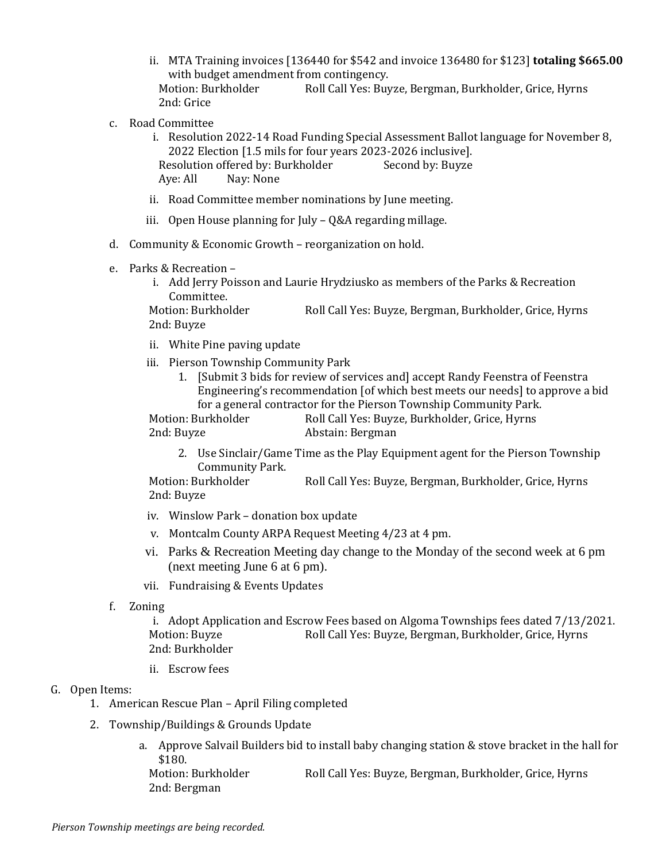- ii. MTA Training invoices [136440 for \$542 and invoice 136480 for \$123] **totaling \$665.00** with budget amendment from contingency. Motion: Burkholder Roll Call Yes: Buyze, Bergman, Burkholder, Grice, Hyrns 2nd: Grice
- c. Road Committee
	- i. Resolution 2022-14 Road Funding Special Assessment Ballot language for November 8, 2022 Election [1.5 mils for four years 2023-2026 inclusive]. Resolution offered by: Burkholder Second by: Buyze Aye: All Nay: None
	- ii. Road Committee member nominations by June meeting.
	- iii. Open House planning for July Q&A regarding millage.
- d. Community & Economic Growth reorganization on hold.
- e. Parks & Recreation
	- i. Add Jerry Poisson and Laurie Hrydziusko as members of the Parks & Recreation Committee.

Motion: Burkholder Roll Call Yes: Buyze, Bergman, Burkholder, Grice, Hyrns 2nd: Buyze

- ii. White Pine paving update
- iii. Pierson Township Community Park
	- 1. [Submit 3 bids for review of services and] accept Randy Feenstra of Feenstra Engineering's recommendation [of which best meets our needs] to approve a bid for a general contractor for the Pierson Township Community Park.

Motion: Burkholder Roll Call Yes: Buyze, Burkholder, Grice, Hyrns 2nd: Buyze Abstain: Bergman

2. Use Sinclair/Game Time as the Play Equipment agent for the Pierson Township Community Park.

Motion: Burkholder Roll Call Yes: Buyze, Bergman, Burkholder, Grice, Hyrns 2nd: Buyze

- iv. Winslow Park donation box update
- v. Montcalm County ARPA Request Meeting 4/23 at 4 pm.
- vi. Parks & Recreation Meeting day change to the Monday of the second week at 6 pm (next meeting June 6 at 6 pm).
- vii. Fundraising & Events Updates
- f. Zoning

i. Adopt Application and Escrow Fees based on Algoma Townships fees dated 7/13/2021. Motion: Buyze Roll Call Yes: Buyze, Bergman, Burkholder, Grice, Hyrns 2nd: Burkholder

ii. Escrow fees

## G. Open Items:

- 1. American Rescue Plan April Filing completed
- 2. Township/Buildings & Grounds Update
	- a. Approve Salvail Builders bid to install baby changing station & stove bracket in the hall for \$180. Motion: Burkholder Roll Call Yes: Buyze, Bergman, Burkholder, Grice, Hyrns 2nd: Bergman